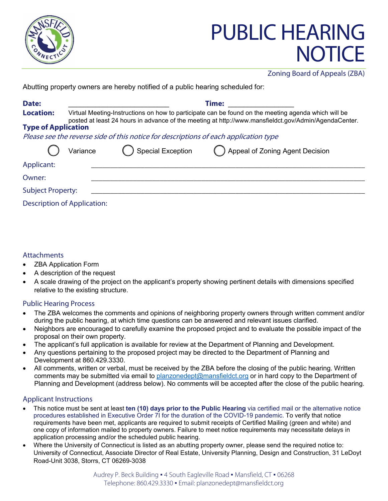

# PUBLIC HEARING **NOTICE**

Zoning Board of Appeals (ZBA)

Abutting property owners are hereby notified of a public hearing scheduled for:

| Date:                      |                                                                                                                                                                                                             | <b>Time:</b>                                                                         |                                    |  |
|----------------------------|-------------------------------------------------------------------------------------------------------------------------------------------------------------------------------------------------------------|--------------------------------------------------------------------------------------|------------------------------------|--|
| <b>Location:</b>           | Virtual Meeting-Instructions on how to participate can be found on the meeting agenda which will be<br>posted at least 24 hours in advance of the meeting at http://www.mansfieldct.gov/Admin/AgendaCenter. |                                                                                      |                                    |  |
| <b>Type of Application</b> |                                                                                                                                                                                                             |                                                                                      |                                    |  |
|                            |                                                                                                                                                                                                             | Please see the reverse side of this notice for descriptions of each application type |                                    |  |
|                            | Variance                                                                                                                                                                                                    | <b>Special Exception</b>                                                             | () Appeal of Zoning Agent Decision |  |
| Applicant:                 |                                                                                                                                                                                                             |                                                                                      |                                    |  |
| Owner:                     |                                                                                                                                                                                                             |                                                                                      |                                    |  |
| <b>Subject Property:</b>   |                                                                                                                                                                                                             |                                                                                      |                                    |  |
|                            | <b>Description of Application:</b>                                                                                                                                                                          |                                                                                      |                                    |  |

### **Attachments**

- ZBA Application Form
- A description of the request
- A scale drawing of the project on the applicant's property showing pertinent details with dimensions specified relative to the existing structure.

### Public Hearing Process

- The ZBA welcomes the comments and opinions of neighboring property owners through written comment and/or during the public hearing, at which time questions can be answered and relevant issues clarified.
- Neighbors are encouraged to carefully examine the proposed project and to evaluate the possible impact of the proposal on their own property.
- The applicant's full application is available for review at the Department of Planning and Development.
- Any questions pertaining to the proposed project may be directed to the Department of Planning and Development at 860.429.3330.
- All comments, written or verbal, must be received by the ZBA before the closing of the public hearing. Written comments may be submitted via email to [planzonedept@mansfieldct.org](mailto:planzonedept@mansfieldct.org) or in hard copy to the Department of Planning and Development (address below). No comments will be accepted after the close of the public hearing.

### Applicant Instructions

- This notice must be sent at least **ten (10) days prior to the Public Hearing** via certified mail or the alternative notice procedures established in Executive Order 7I for the duration of the COVID-19 pandemic. To verify that notice requirements have been met, applicants are required to submit receipts of Certified Mailing (green and white) and one copy of information mailed to property owners. Failure to meet notice requirements may necessitate delays in application processing and/or the scheduled public hearing.
- Where the University of Connecticut is listed as an abutting property owner, please send the required notice to: University of Connecticut, Associate Director of Real Estate, University Planning, Design and Construction, 31 LeDoyt Road-Unit 3038, Storrs, CT 06269-3038